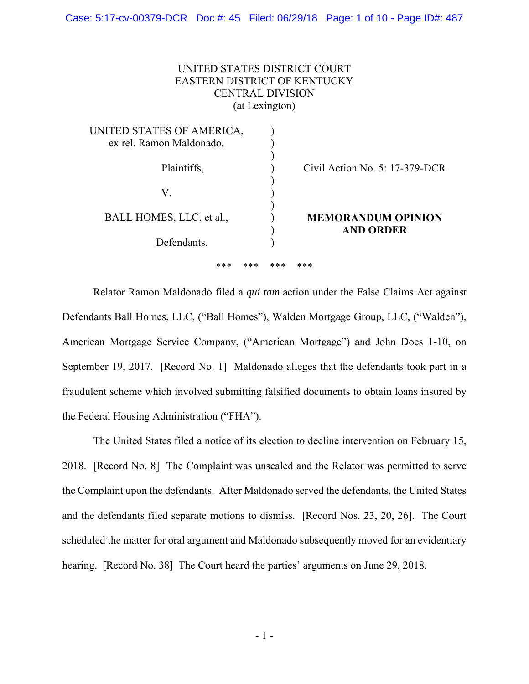# UNITED STATES DISTRICT COURT EASTERN DISTRICT OF KENTUCKY CENTRAL DIVISION (at Lexington)

| UNITED STATES OF AMERICA,<br>ex rel. Ramon Maldonado, |                                               |
|-------------------------------------------------------|-----------------------------------------------|
| Plaintiffs,                                           | Civil Action No. $5: 17-379$ -DCR             |
| V.                                                    |                                               |
| BALL HOMES, LLC, et al.,                              | <b>MEMORANDUM OPINION</b><br><b>AND ORDER</b> |
| Defendants                                            |                                               |

\*\*\* \*\*\* \*\*\* \*\*\*

 Relator Ramon Maldonado filed a *qui tam* action under the False Claims Act against Defendants Ball Homes, LLC, ("Ball Homes"), Walden Mortgage Group, LLC, ("Walden"), American Mortgage Service Company, ("American Mortgage") and John Does 1-10, on September 19, 2017. [Record No. 1] Maldonado alleges that the defendants took part in a fraudulent scheme which involved submitting falsified documents to obtain loans insured by the Federal Housing Administration ("FHA").

 The United States filed a notice of its election to decline intervention on February 15, 2018. [Record No. 8] The Complaint was unsealed and the Relator was permitted to serve the Complaint upon the defendants. After Maldonado served the defendants, the United States and the defendants filed separate motions to dismiss. [Record Nos. 23, 20, 26]. The Court scheduled the matter for oral argument and Maldonado subsequently moved for an evidentiary hearing. [Record No. 38] The Court heard the parties' arguments on June 29, 2018.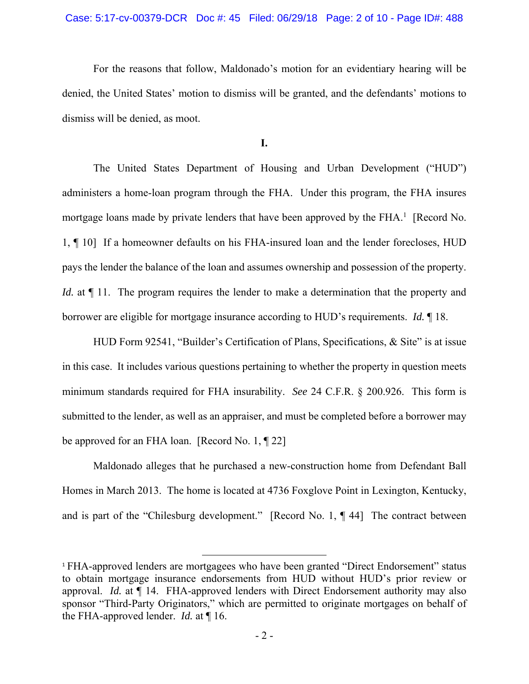For the reasons that follow, Maldonado's motion for an evidentiary hearing will be denied, the United States' motion to dismiss will be granted, and the defendants' motions to dismiss will be denied, as moot.

## **I.**

 The United States Department of Housing and Urban Development ("HUD") administers a home-loan program through the FHA. Under this program, the FHA insures mortgage loans made by private lenders that have been approved by the  $FHA$ <sup>1</sup> [Record No. 1, ¶ 10] If a homeowner defaults on his FHA-insured loan and the lender forecloses, HUD pays the lender the balance of the loan and assumes ownership and possession of the property. *Id.* at  $\P$  11. The program requires the lender to make a determination that the property and borrower are eligible for mortgage insurance according to HUD's requirements. *Id.* ¶ 18.

 HUD Form 92541, "Builder's Certification of Plans, Specifications, & Site" is at issue in this case. It includes various questions pertaining to whether the property in question meets minimum standards required for FHA insurability. *See* 24 C.F.R. § 200.926. This form is submitted to the lender, as well as an appraiser, and must be completed before a borrower may be approved for an FHA loan. [Record No. 1, ¶ 22]

 Maldonado alleges that he purchased a new-construction home from Defendant Ball Homes in March 2013. The home is located at 4736 Foxglove Point in Lexington, Kentucky, and is part of the "Chilesburg development." [Record No. 1, ¶ 44] The contract between

<sup>&</sup>lt;sup>1</sup> FHA-approved lenders are mortgagees who have been granted "Direct Endorsement" status to obtain mortgage insurance endorsements from HUD without HUD's prior review or approval. *Id.* at ¶ 14. FHA-approved lenders with Direct Endorsement authority may also sponsor "Third-Party Originators," which are permitted to originate mortgages on behalf of the FHA-approved lender. *Id.* at ¶ 16.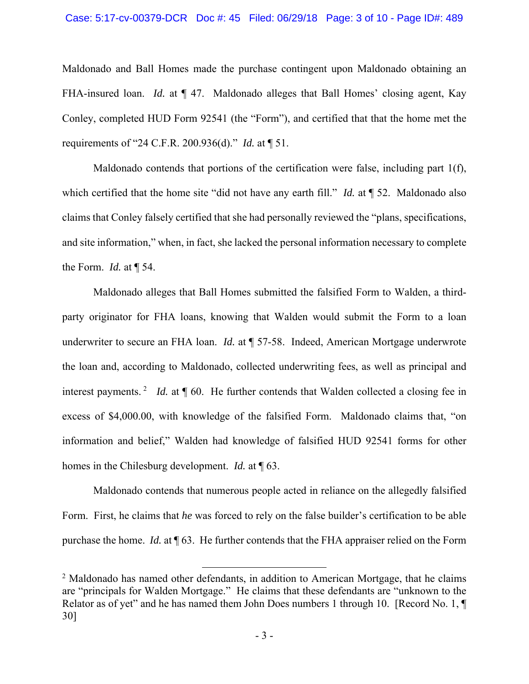Maldonado and Ball Homes made the purchase contingent upon Maldonado obtaining an FHA-insured loan. *Id.* at  $\P$  47. Maldonado alleges that Ball Homes' closing agent, Kay Conley, completed HUD Form 92541 (the "Form"), and certified that that the home met the requirements of "24 C.F.R. 200.936(d)." *Id.* at ¶ 51.

 Maldonado contends that portions of the certification were false, including part 1(f), which certified that the home site "did not have any earth fill." *Id.* at  $\P$  52. Maldonado also claims that Conley falsely certified that she had personally reviewed the "plans, specifications, and site information," when, in fact, she lacked the personal information necessary to complete the Form. *Id.* at ¶ 54.

 Maldonado alleges that Ball Homes submitted the falsified Form to Walden, a thirdparty originator for FHA loans, knowing that Walden would submit the Form to a loan underwriter to secure an FHA loan. *Id.* at ¶ 57-58. Indeed, American Mortgage underwrote the loan and, according to Maldonado, collected underwriting fees, as well as principal and interest payments.<sup>2</sup> *Id.* at ¶ 60. He further contends that Walden collected a closing fee in excess of \$4,000.00, with knowledge of the falsified Form. Maldonado claims that, "on information and belief," Walden had knowledge of falsified HUD 92541 forms for other homes in the Chilesburg development. *Id.* at ¶ 63.

 Maldonado contends that numerous people acted in reliance on the allegedly falsified Form. First, he claims that *he* was forced to rely on the false builder's certification to be able purchase the home. *Id.* at ¶ 63. He further contends that the FHA appraiser relied on the Form

 $2$  Maldonado has named other defendants, in addition to American Mortgage, that he claims are "principals for Walden Mortgage." He claims that these defendants are "unknown to the Relator as of yet" and he has named them John Does numbers 1 through 10. [Record No. 1, ¶ 30]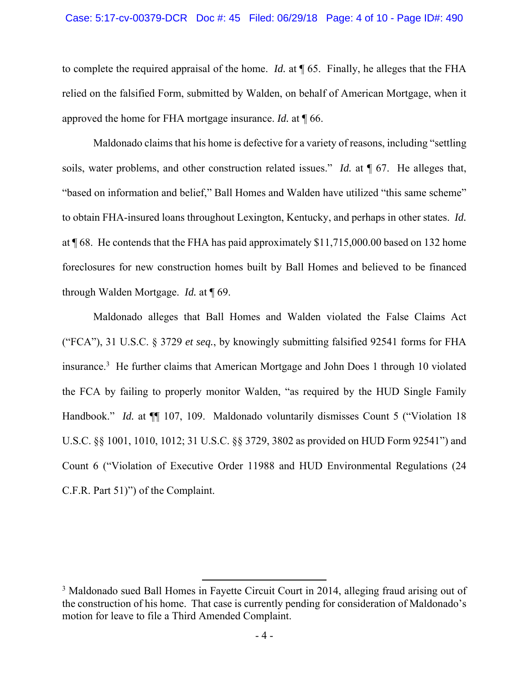#### Case: 5:17-cv-00379-DCR Doc #: 45 Filed: 06/29/18 Page: 4 of 10 - Page ID#: 490

to complete the required appraisal of the home. *Id.* at ¶ 65. Finally, he alleges that the FHA relied on the falsified Form, submitted by Walden, on behalf of American Mortgage, when it approved the home for FHA mortgage insurance. *Id.* at ¶ 66.

 Maldonado claims that his home is defective for a variety of reasons, including "settling soils, water problems, and other construction related issues." *Id.* at ¶ 67. He alleges that, "based on information and belief," Ball Homes and Walden have utilized "this same scheme" to obtain FHA-insured loans throughout Lexington, Kentucky, and perhaps in other states. *Id.* at ¶ 68. He contends that the FHA has paid approximately \$11,715,000.00 based on 132 home foreclosures for new construction homes built by Ball Homes and believed to be financed through Walden Mortgage. *Id.* at ¶ 69.

 Maldonado alleges that Ball Homes and Walden violated the False Claims Act ("FCA"), 31 U.S.C. § 3729 *et seq.*, by knowingly submitting falsified 92541 forms for FHA insurance.3 He further claims that American Mortgage and John Does 1 through 10 violated the FCA by failing to properly monitor Walden, "as required by the HUD Single Family Handbook." *Id.* at  $\P$  107, 109. Maldonado voluntarily dismisses Count 5 ("Violation 18 U.S.C. §§ 1001, 1010, 1012; 31 U.S.C. §§ 3729, 3802 as provided on HUD Form 92541") and Count 6 ("Violation of Executive Order 11988 and HUD Environmental Regulations (24 C.F.R. Part 51)") of the Complaint.

<sup>&</sup>lt;sup>3</sup> Maldonado sued Ball Homes in Fayette Circuit Court in 2014, alleging fraud arising out of the construction of his home. That case is currently pending for consideration of Maldonado's motion for leave to file a Third Amended Complaint.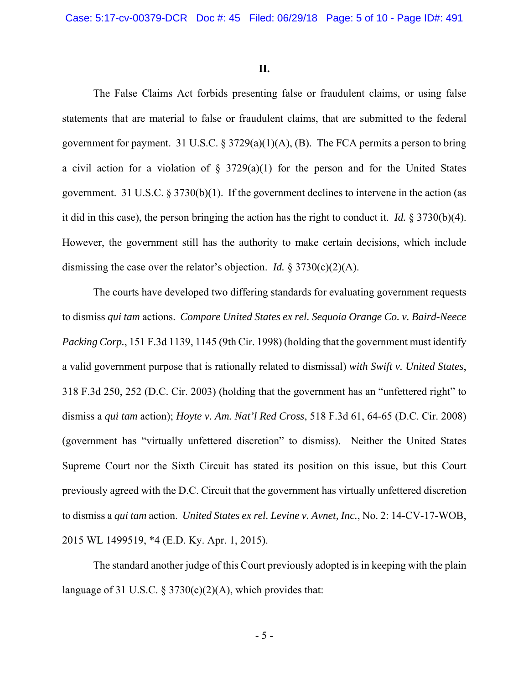#### **II.**

 The False Claims Act forbids presenting false or fraudulent claims, or using false statements that are material to false or fraudulent claims, that are submitted to the federal government for payment. 31 U.S.C.  $\S 3729(a)(1)(A)$ , (B). The FCA permits a person to bring a civil action for a violation of  $\S$  3729(a)(1) for the person and for the United States government. 31 U.S.C.  $\S 3730(b)(1)$ . If the government declines to intervene in the action (as it did in this case), the person bringing the action has the right to conduct it. *Id.* § 3730(b)(4). However, the government still has the authority to make certain decisions, which include dismissing the case over the relator's objection. *Id.*  $\S 3730(c)(2)(A)$ .

 The courts have developed two differing standards for evaluating government requests to dismiss *qui tam* actions. *Compare United States ex rel. Sequoia Orange Co. v. Baird-Neece Packing Corp.*, 151 F.3d 1139, 1145 (9th Cir. 1998) (holding that the government must identify a valid government purpose that is rationally related to dismissal) *with Swift v. United States*, 318 F.3d 250, 252 (D.C. Cir. 2003) (holding that the government has an "unfettered right" to dismiss a *qui tam* action); *Hoyte v. Am. Nat'l Red Cross*, 518 F.3d 61, 64-65 (D.C. Cir. 2008) (government has "virtually unfettered discretion" to dismiss). Neither the United States Supreme Court nor the Sixth Circuit has stated its position on this issue, but this Court previously agreed with the D.C. Circuit that the government has virtually unfettered discretion to dismiss a *qui tam* action. *United States ex rel. Levine v. Avnet, Inc.*, No. 2: 14-CV-17-WOB, 2015 WL 1499519, \*4 (E.D. Ky. Apr. 1, 2015).

 The standard another judge of this Court previously adopted is in keeping with the plain language of 31 U.S.C. § 3730(c)(2)(A), which provides that: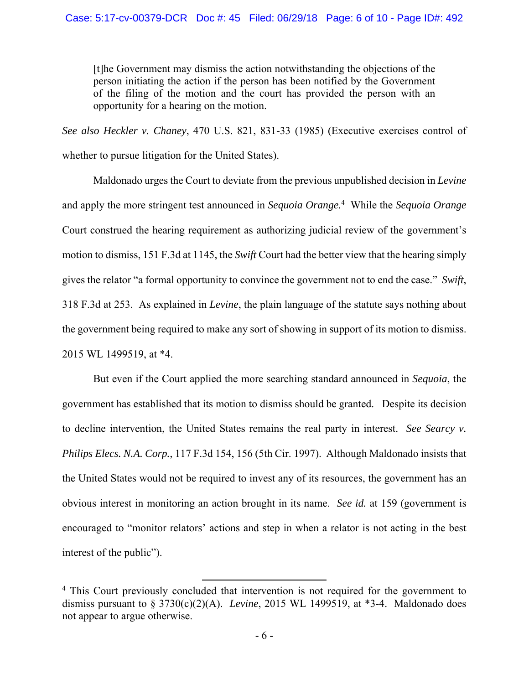[t]he Government may dismiss the action notwithstanding the objections of the person initiating the action if the person has been notified by the Government of the filing of the motion and the court has provided the person with an opportunity for a hearing on the motion.

*See also Heckler v. Chaney*, 470 U.S. 821, 831-33 (1985) (Executive exercises control of whether to pursue litigation for the United States).

 Maldonado urges the Court to deviate from the previous unpublished decision in *Levine*  and apply the more stringent test announced in *Sequoia Orange.*<sup>4</sup> While the *Sequoia Orange*  Court construed the hearing requirement as authorizing judicial review of the government's motion to dismiss, 151 F.3d at 1145, the *Swift* Court had the better view that the hearing simply gives the relator "a formal opportunity to convince the government not to end the case." *Swift*, 318 F.3d at 253. As explained in *Levine*, the plain language of the statute says nothing about the government being required to make any sort of showing in support of its motion to dismiss. 2015 WL 1499519, at \*4.

 But even if the Court applied the more searching standard announced in *Sequoia*, the government has established that its motion to dismiss should be granted. Despite its decision to decline intervention, the United States remains the real party in interest. *See Searcy v. Philips Elecs. N.A. Corp.*, 117 F.3d 154, 156 (5th Cir. 1997). Although Maldonado insists that the United States would not be required to invest any of its resources, the government has an obvious interest in monitoring an action brought in its name. *See id.* at 159 (government is encouraged to "monitor relators' actions and step in when a relator is not acting in the best interest of the public").

<sup>&</sup>lt;sup>4</sup> This Court previously concluded that intervention is not required for the government to dismiss pursuant to § 3730(c)(2)(A). *Levine*, 2015 WL 1499519, at \*3-4. Maldonado does not appear to argue otherwise.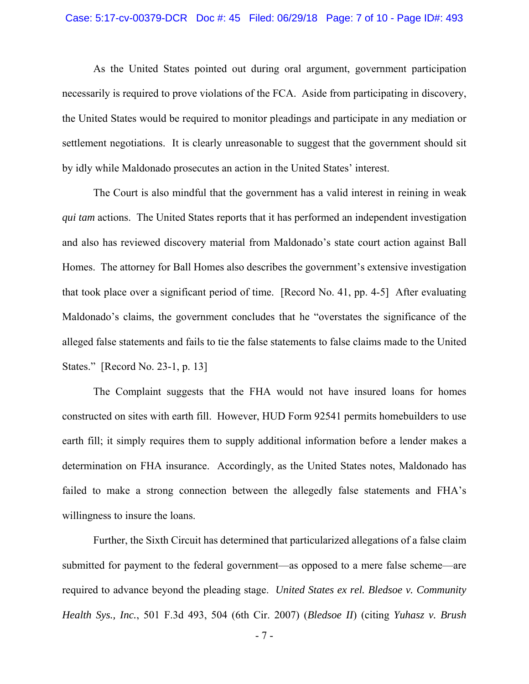### Case: 5:17-cv-00379-DCR Doc #: 45 Filed: 06/29/18 Page: 7 of 10 - Page ID#: 493

 As the United States pointed out during oral argument, government participation necessarily is required to prove violations of the FCA. Aside from participating in discovery, the United States would be required to monitor pleadings and participate in any mediation or settlement negotiations. It is clearly unreasonable to suggest that the government should sit by idly while Maldonado prosecutes an action in the United States' interest.

 The Court is also mindful that the government has a valid interest in reining in weak *qui tam* actions. The United States reports that it has performed an independent investigation and also has reviewed discovery material from Maldonado's state court action against Ball Homes. The attorney for Ball Homes also describes the government's extensive investigation that took place over a significant period of time. [Record No. 41, pp. 4-5] After evaluating Maldonado's claims, the government concludes that he "overstates the significance of the alleged false statements and fails to tie the false statements to false claims made to the United States." [Record No. 23-1, p. 13]

 The Complaint suggests that the FHA would not have insured loans for homes constructed on sites with earth fill. However, HUD Form 92541 permits homebuilders to use earth fill; it simply requires them to supply additional information before a lender makes a determination on FHA insurance. Accordingly, as the United States notes, Maldonado has failed to make a strong connection between the allegedly false statements and FHA's willingness to insure the loans.

 Further, the Sixth Circuit has determined that particularized allegations of a false claim submitted for payment to the federal government—as opposed to a mere false scheme—are required to advance beyond the pleading stage. *United States ex rel. Bledsoe v. Community Health Sys., Inc.*, 501 F.3d 493, 504 (6th Cir. 2007) (*Bledsoe II*) (citing *Yuhasz v. Brush* 

- 7 -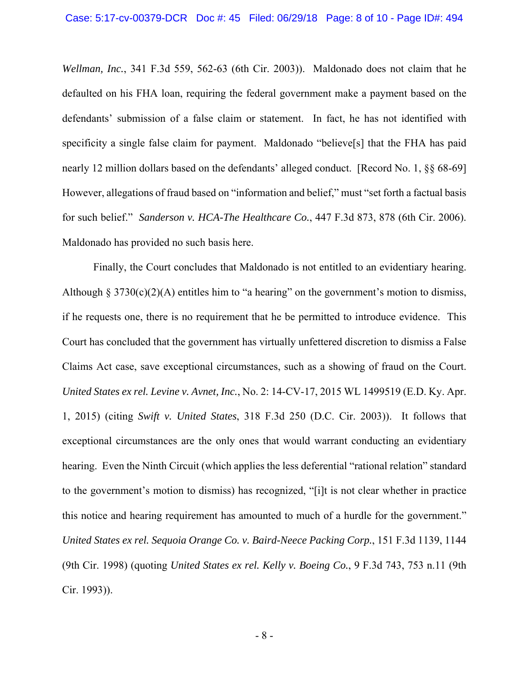*Wellman, Inc.*, 341 F.3d 559, 562-63 (6th Cir. 2003)). Maldonado does not claim that he defaulted on his FHA loan, requiring the federal government make a payment based on the defendants' submission of a false claim or statement. In fact, he has not identified with specificity a single false claim for payment. Maldonado "believe<sup>[s]</sup> that the FHA has paid nearly 12 million dollars based on the defendants' alleged conduct. [Record No. 1, §§ 68-69] However, allegations of fraud based on "information and belief," must "set forth a factual basis for such belief." *Sanderson v. HCA-The Healthcare Co.*, 447 F.3d 873, 878 (6th Cir. 2006). Maldonado has provided no such basis here.

 Finally, the Court concludes that Maldonado is not entitled to an evidentiary hearing. Although § 3730(c)(2)(A) entitles him to "a hearing" on the government's motion to dismiss, if he requests one, there is no requirement that he be permitted to introduce evidence. This Court has concluded that the government has virtually unfettered discretion to dismiss a False Claims Act case, save exceptional circumstances, such as a showing of fraud on the Court. *United States ex rel. Levine v. Avnet, Inc.*, No. 2: 14-CV-17, 2015 WL 1499519 (E.D. Ky. Apr. 1, 2015) (citing *Swift v. United States*, 318 F.3d 250 (D.C. Cir. 2003)). It follows that exceptional circumstances are the only ones that would warrant conducting an evidentiary hearing. Even the Ninth Circuit (which applies the less deferential "rational relation" standard to the government's motion to dismiss) has recognized, "[i]t is not clear whether in practice this notice and hearing requirement has amounted to much of a hurdle for the government." *United States ex rel. Sequoia Orange Co. v. Baird-Neece Packing Corp.*, 151 F.3d 1139, 1144 (9th Cir. 1998) (quoting *United States ex rel. Kelly v. Boeing Co.*, 9 F.3d 743, 753 n.11 (9th Cir. 1993)).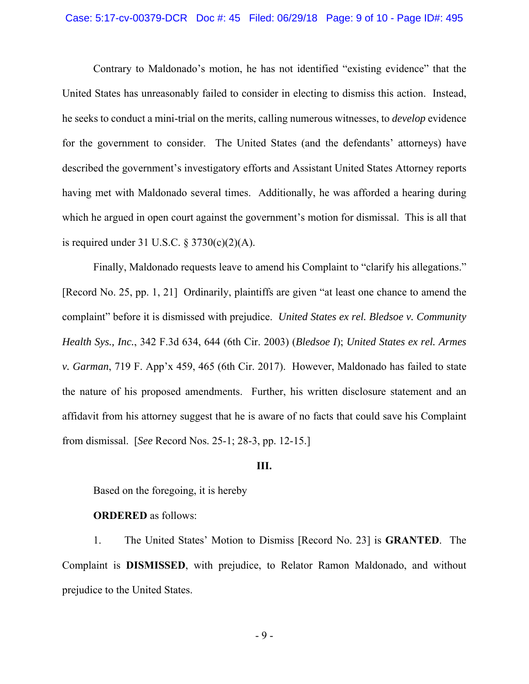### Case: 5:17-cv-00379-DCR Doc #: 45 Filed: 06/29/18 Page: 9 of 10 - Page ID#: 495

 Contrary to Maldonado's motion, he has not identified "existing evidence" that the United States has unreasonably failed to consider in electing to dismiss this action. Instead, he seeks to conduct a mini-trial on the merits, calling numerous witnesses, to *develop* evidence for the government to consider. The United States (and the defendants' attorneys) have described the government's investigatory efforts and Assistant United States Attorney reports having met with Maldonado several times. Additionally, he was afforded a hearing during which he argued in open court against the government's motion for dismissal. This is all that is required under 31 U.S.C.  $\S 3730(c)(2)(A)$ .

 Finally, Maldonado requests leave to amend his Complaint to "clarify his allegations." [Record No. 25, pp. 1, 21] Ordinarily, plaintiffs are given "at least one chance to amend the complaint" before it is dismissed with prejudice. *United States ex rel. Bledsoe v. Community Health Sys., Inc.*, 342 F.3d 634, 644 (6th Cir. 2003) (*Bledsoe I*); *United States ex rel. Armes v. Garman*, 719 F. App'x 459, 465 (6th Cir. 2017). However, Maldonado has failed to state the nature of his proposed amendments. Further, his written disclosure statement and an affidavit from his attorney suggest that he is aware of no facts that could save his Complaint from dismissal. [*See* Record Nos. 25-1; 28-3, pp. 12-15.]

### **III.**

Based on the foregoing, it is hereby

## **ORDERED** as follows:

 1. The United States' Motion to Dismiss [Record No. 23] is **GRANTED**. The Complaint is **DISMISSED**, with prejudice, to Relator Ramon Maldonado, and without prejudice to the United States.